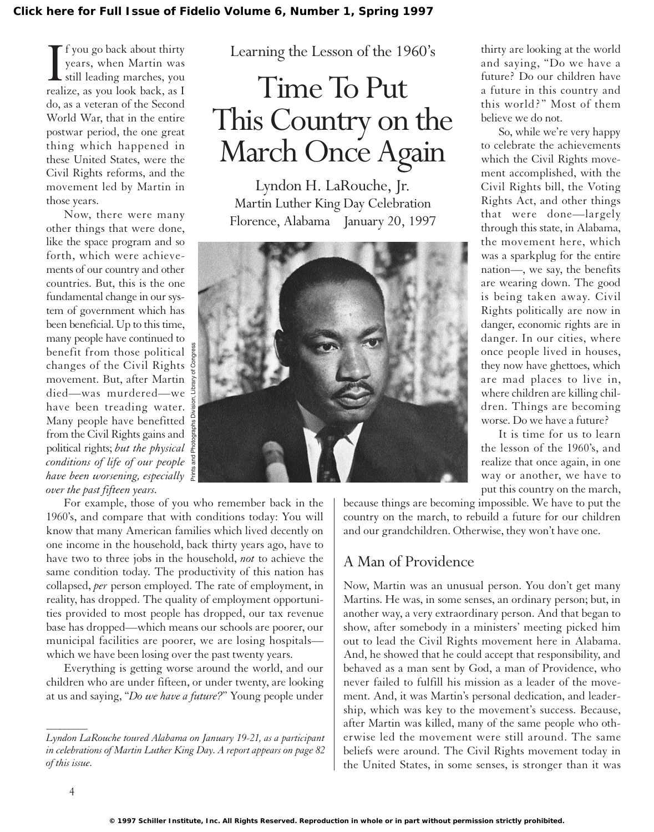I f you go back about thirty<br>years, when Martin was<br>still leading marches, you<br>realize, as you look back, as I f you go back about thirty years, when Martin was still leading marches, you do, as a veteran of the Second World War, that in the entire postwar period, the one great thing which happened in these United States, were the Civil Rights reforms, and the movement led by Martin in those years.

Now, there were many other things that were done, like the space program and so forth, which were achievements of our country and other countries. But, this is the one fundamental change in our system of government which has been beneficial. Up to this time, many people have continued to benefit from those political changes of the Civil Rights movement. But, after Martin died—was murdered—we have been treading water. Many people have benefitted from the Civil Rights gains and political rights; *but the physical conditions of life of our people have been worsening, especially over the past fifteen years.*

Learning the Lesson of the 1960's

## Time To Put This Country on the March Once Again

Lyndon H. LaRouche, Jr. Martin Luther King Day Celebration Florence, Alabama January 20, 1997



For example, those of you who remember back in the 1960's, and compare that with conditions today: You will know that many American families which lived decently on one income in the household, back thirty years ago, have to have two to three jobs in the household, *not* to achieve the same condition today. The productivity of this nation has collapsed, *per* person employed. The rate of employment, in reality, has dropped. The quality of employment opportunities provided to most people has dropped, our tax revenue base has dropped—which means our schools are poorer, our municipal facilities are poorer, we are losing hospitals which we have been losing over the past twenty years.

Everything is getting worse around the world, and our children who are under fifteen, or under twenty, are looking at us and saying, "*Do we have a future?*" Young people under

thirty are looking at the world and saying, "Do we have a future? Do our children have a future in this country and this world?" Most of them believe we do not.

So, while we're very happy to celebrate the achievements which the Civil Rights movement accomplished, with the Civil Rights bill, the Voting Rights Act, and other things that were done—largely through this state, in Alabama, the movement here, which was a sparkplug for the entire nation—, we say, the benefits are wearing down. The good is being taken away. Civil Rights politically are now in danger, economic rights are in danger. In our cities, where once people lived in houses, they now have ghettoes, which are mad places to live in, where children are killing children. Things are becoming worse. Do we have a future?

It is time for us to learn the lesson of the 1960's, and realize that once again, in one way or another, we have to put this country on the march,

because things are becoming impossible. We have to put the country on the march, to rebuild a future for our children and our grandchildren. Otherwise, they won't have one.

## A Man of Providence

Now, Martin was an unusual person. You don't get many Martins. He was, in some senses, an ordinary person; but, in another way, a very extraordinary person. And that began to show, after somebody in a ministers' meeting picked him out to lead the Civil Rights movement here in Alabama. And, he showed that he could accept that responsibility, and behaved as a man sent by God, a man of Providence, who never failed to fulfill his mission as a leader of the movement. And, it was Martin's personal dedication, and leadership, which was key to the movement's success. Because, after Martin was killed, many of the same people who otherwise led the movement were still around. The same beliefs were around. The Civil Rights movement today in the United States, in some senses, is stronger than it was

 $\overline{\phantom{a}}$ 

*Lyndon LaRouche toured Alabama on January 19-21, as a participant in celebrations of Martin Luther King Day. A report appears on page 82 of this issue.*